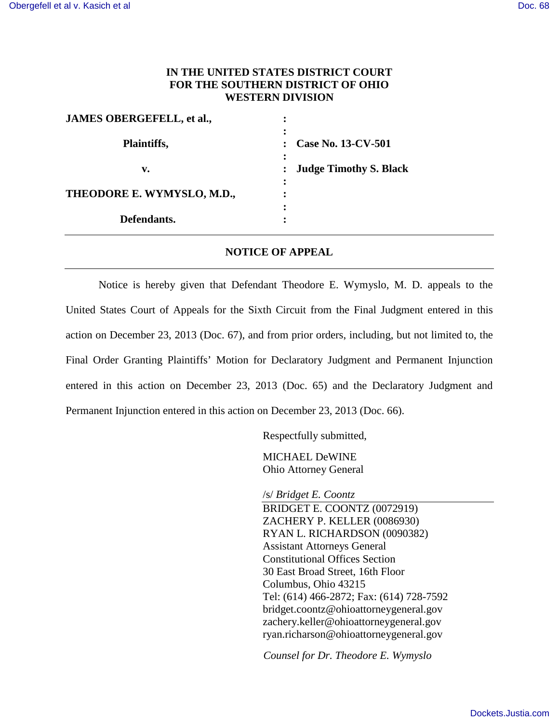## **IN THE UNITED STATES DISTRICT COURT FOR THE SOUTHERN DISTRICT OF OHIO WESTERN DIVISION**

| <b>JAMES OBERGEFELL, et al.,</b> |                               |
|----------------------------------|-------------------------------|
| Plaintiffs,                      | <b>Case No. 13-CV-501</b>     |
| v.                               | <b>Judge Timothy S. Black</b> |
| THEODORE E. WYMYSLO, M.D.,       |                               |
| Defendants.                      |                               |

## **NOTICE OF APPEAL**

Notice is hereby given that Defendant Theodore E. Wymyslo, M. D. appeals to the United States Court of Appeals for the Sixth Circuit from the Final Judgment entered in this action on December 23, 2013 (Doc. 67), and from prior orders, including, but not limited to, the Final Order Granting Plaintiffs' Motion for Declaratory Judgment and Permanent Injunction entered in this action on December 23, 2013 (Doc. 65) and the Declaratory Judgment and Permanent Injunction entered in this action on December 23, 2013 (Doc. 66).

Respectfully submitted,

MICHAEL DeWINE Ohio Attorney General

/s/ *Bridget E. Coontz*

BRIDGET E. COONTZ (0072919) ZACHERY P. KELLER (0086930) RYAN L. RICHARDSON (0090382) Assistant Attorneys General Constitutional Offices Section 30 East Broad Street, 16th Floor Columbus, Ohio 43215 Tel: (614) 466-2872; Fax: (614) 728-7592 bridget.coontz@ohioattorneygeneral.gov zachery.keller@ohioattorneygeneral.gov ryan.richarson@ohioattorneygeneral.gov

*Counsel for Dr. Theodore E. Wymyslo*